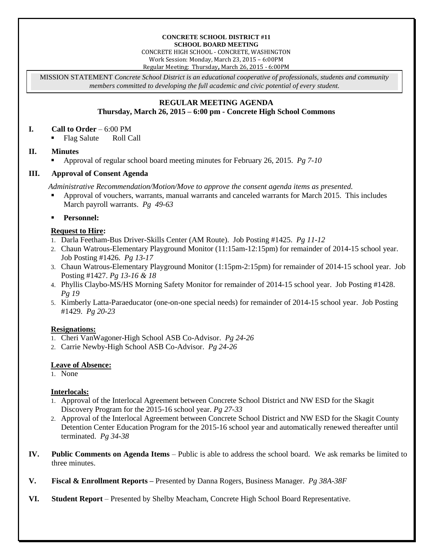#### **CONCRETE SCHOOL DISTRICT #11 SCHOOL BOARD MEETING**

CONCRETE HIGH SCHOOL - CONCRETE, WASHINGTON Work Session: Monday, March 23, 2015 – 6:00PM Regular Meeting: Thursday**,** March 26, 2015 - 6:00PM

MISSION STATEMENT *Concrete School District is an educational cooperative of professionals, students and community members committed to developing the full academic and civic potential of every student.*

# **REGULAR MEETING AGENDA**

# **Thursday, March 26, 2015 – 6:00 pm - Concrete High School Commons**

#### **I. Call to Order** – 6:00 PM

• Flag Salute Roll Call

#### **II. Minutes**

Approval of regular school board meeting minutes for February 26, 2015. *Pg 7-10*

# **III. Approval of Consent Agenda**

*Administrative Recommendation/Motion/Move to approve the consent agenda items as presented.*

- Approval of vouchers, warrants, manual warrants and canceled warrants for March 2015. This includes March payroll warrants. *Pg 49-63*
- **Personnel:**

### **Request to Hire:**

- 1. Darla Feetham-Bus Driver-Skills Center (AM Route). Job Posting #1425. *Pg 11-12*
- 2. Chaun Watrous-Elementary Playground Monitor (11:15am-12:15pm) for remainder of 2014-15 school year. Job Posting #1426. *Pg 13-17*
- 3. Chaun Watrous-Elementary Playground Monitor (1:15pm-2:15pm) for remainder of 2014-15 school year. Job Posting #1427. *Pg 13-16 & 18*
- 4. Phyllis Claybo-MS/HS Morning Safety Monitor for remainder of 2014-15 school year. Job Posting #1428. *Pg 19*
- 5. Kimberly Latta-Paraeducator (one-on-one special needs) for remainder of 2014-15 school year. Job Posting #1429. *Pg 20-23*

# **Resignations:**

- 1. Cheri VanWagoner-High School ASB Co-Advisor. *Pg 24-26*
- 2. Carrie Newby-High School ASB Co-Advisor. *Pg 24-26*

# **Leave of Absence:**

1. None

#### **Interlocals:**

- 1. Approval of the Interlocal Agreement between Concrete School District and NW ESD for the Skagit Discovery Program for the 2015-16 school year. *Pg 27-33*
- 2. Approval of the Interlocal Agreement between Concrete School District and NW ESD for the Skagit County Detention Center Education Program for the 2015-16 school year and automatically renewed thereafter until terminated. *Pg 34-38*
- **IV. Public Comments on Agenda Items** Public is able to address the school board. We ask remarks be limited to three minutes.
- **V. Fiscal & Enrollment Reports –** Presented by Danna Rogers, Business Manager. *Pg 38A-38F*
- **VI. Student Report** Presented by Shelby Meacham, Concrete High School Board Representative.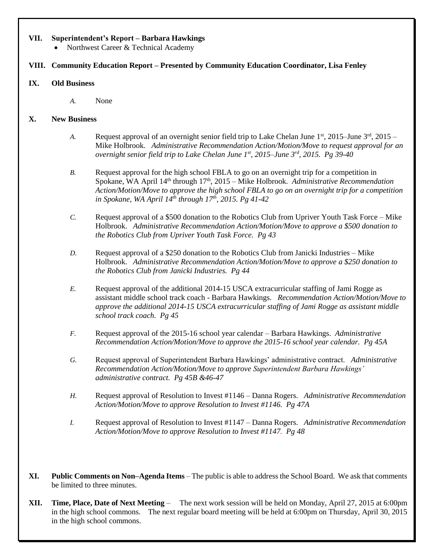#### **VII. Superintendent's Report – Barbara Hawkings**

• Northwest Career & Technical Academy

# **VIII. Community Education Report – Presented by Community Education Coordinator, Lisa Fenley**

#### **IX. Old Business**

*A.* None

#### **X. New Business**

- *A.* Request approval of an overnight senior field trip to Lake Chelan June  $1<sup>st</sup>$ , 2015–June  $3<sup>rd</sup>$ , 2015– Mike Holbrook. *Administrative Recommendation Action/Motion/Move to request approval for an overnight senior field trip to Lake Chelan June 1st , 2015–June 3rd, 2015. Pg 39-40*
- *B.* Request approval for the high school FBLA to go on an overnight trip for a competition in Spokane, WA April 14<sup>th</sup> through 17<sup>th</sup>, 2015 – Mike Holbrook. *Administrative Recommendation Action/Motion/Move to approve the high school FBLA to go on an overnight trip for a competition in Spokane, WA April 14th through 17th, 2015. Pg 41-42*
- *C.* Request approval of a \$500 donation to the Robotics Club from Upriver Youth Task Force Mike Holbrook. *Administrative Recommendation Action/Motion/Move to approve a \$500 donation to the Robotics Club from Upriver Youth Task Force. Pg 43*
- *D.* Request approval of a \$250 donation to the Robotics Club from Janicki Industries Mike Holbrook. *Administrative Recommendation Action/Motion/Move to approve a \$250 donation to the Robotics Club from Janicki Industries. Pg 44*
- *E.* Request approval of the additional 2014-15 USCA extracurricular staffing of Jami Rogge as assistant middle school track coach - Barbara Hawkings. *Recommendation Action/Motion/Move to approve the additional 2014-15 USCA extracurricular staffing of Jami Rogge as assistant middle school track coach. Pg 45*
- *F.* Request approval of the 2015-16 school year calendar Barbara Hawkings. *Administrative Recommendation Action/Motion/Move to approve the 2015-16 school year calendar. Pg 45A*
- *G.* Request approval of Superintendent Barbara Hawkings' administrative contract. *Administrative Recommendation Action/Motion/Move to approve Superintendent Barbara Hawkings' administrative contract. Pg 45B &46-47*
- *H.* Request approval of Resolution to Invest #1146 Danna Rogers. *Administrative Recommendation Action/Motion/Move to approve Resolution to Invest #1146. Pg 47A*
- *I.* Request approval of Resolution to Invest #1147 Danna Rogers. *Administrative Recommendation Action/Motion/Move to approve Resolution to Invest #1147. Pg 48*
- **XI. Public Comments on Non–Agenda Items** The public is able to address the School Board. We ask that comments be limited to three minutes.
- **XII. Time, Place, Date of Next Meeting** The next work session will be held on Monday, April 27, 2015 at 6:00pm in the high school commons. The next regular board meeting will be held at 6:00pm on Thursday, April 30, 2015 in the high school commons.